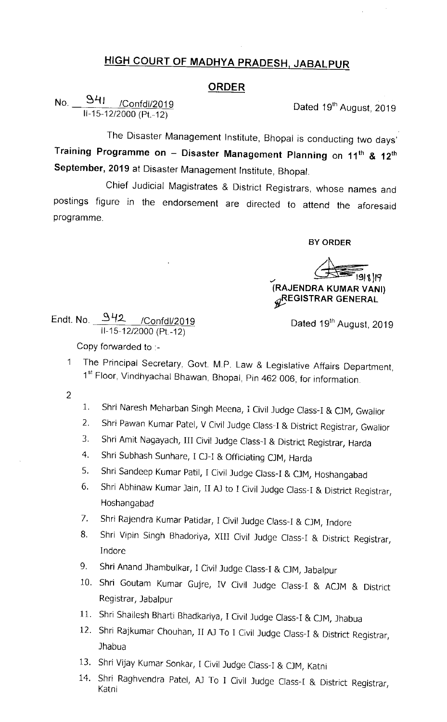## HIGH COURT OF MADHYA PRADESH, JABALPUR

## ORDER

No. 941 /Confdl/2019  $11-15-12/2000$  (Pt.-12)

Dated 19<sup>th</sup> August, 2019

The Disaster Management Institute, Bhopal is conducting two days' Training Programme on - Disaster Management Planning on 11<sup>th</sup> & 12<sup>th</sup> September, 2019 at Disaster Management Institute, Bhopal.

Chief Judicial Magistrates & District Registrars, whose names and postings figure in the endorsement are directed to attend the aforesald programme.

BY ORDER

(RAJENDRA KUMAR VANI)

## **GREGISTRAR GENERAL**

Endt. No. 942 /Confd /2019  $11-15-12/2000$  (Pt.-12)

Dated 19<sup>th</sup> August, 2019

Copy forwarded to .-

- The Principal Secretary, Govt. M.P. Law & Legislative Affairs Department,  $1<sup>1</sup>$ 1st Floor, Vindhyachal Bhawan, Bhopal, Pin 462 006, for information.
- $\overline{2}$
- 1. Shri Naresh Meharban singh Meena, I civil Judge class-I & CJM, Gwalior
- 2. Shri pawan Kumar patel, V civil Judge class-I & District Registrar, Gwallor
- 3. Shri Amit Nagayach, Ill civil Judge class-I & District Registrar, Harda
- 4. Shri Subhash Sunhare, I CJ-I & Officiating CJM, Harda
- 5. Shri Sandeep Kumar Patil, I Civil Judge Class-I & CJM, Hoshangabad
- 6. Shri Abhinaw Kumar Jain, II AJ to I Civil Judge Class-I & District Registrar, Hoshangabad
- 7. Shri Rajendra Kumar Patidar, I Civil Judge Class-I & CJM, Indore
- 8. Shri Vipin Singh Bhadoriya, XIII Civil Judge Class-I & District Registrar, Indore
- 9. Shri Anand Jhambulkar, I Civil Judge Class-I & CJM, Jabalpur
- 10. Shri Goutam Kumar Gujre, IV Civil Judge Class-I & ACJM & District Registrar, Jabalpur
- 11. Shri Shailesh Bharti Bhadkariya, I Civil Judge Class-I & CJM, Jhabua
- 12. Shri Rajkumar Chouhan, II AJ To I Civil Judge Class-I & District Registrar, Jhabua
- 13. Shri Vijay Kumar Sonkar, I Civil Judge Class-I & CJM, Katni
- 14. Shri Raghvendra Patel, AJ To I Civil Judge Class-I & District Registrar, Katni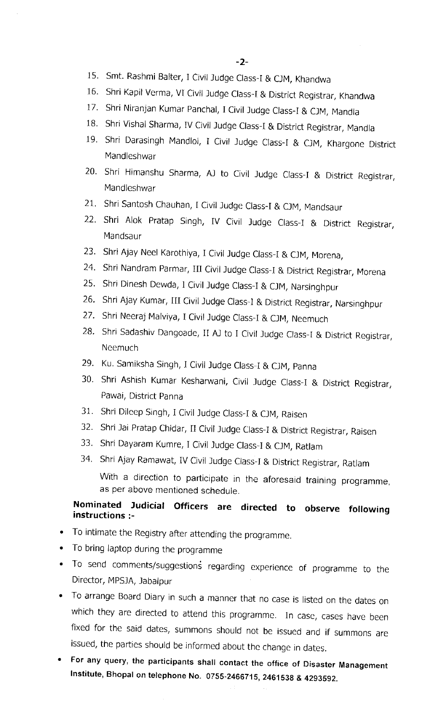- 15. Smt. Rashmi Balter, I Civil Judge Class-I & CJM, Khandwa
- 16. Shri Kapil Verma, VI Civil Judge Class-I & District Registrar, Khandwa
- 17. Shri Niranjan Kumar Panchal, I Civil Judge Class-I & CJM, Mandla
- 18. Shri Vishal Sharma, IV Civil Judge Class-I & District Registrar, Mandla
- 19. Shri Darasingh Mandloi, I Civil Judge Class-I & CJM, Khargone District Mandleshwar
- 20. Shri Himanshu Sharma, AJ to Civil Judge Class-I & District Registrar, Mandleshwar
- 21. Shri Santosh Chauhan, I Civil Judge Class-I & CJM, Mandsaur
- 22. Shri Alok Pratap Singh, IV Civil Judge Class-I & District Registrar, Mandsaur
- 23. Shri Ajay Neel Karothiya, I Civil Judge Class-I & CJM, Morena,
- 24. Shri Nandram Parmar, III Civil Judge Class-I & District Registrar, Morena
- 25. Shri Dinesh Dewda, I Civil Judge Class-I & CJM, Narsinghpur
- 26. Shri Ajay Kumar, III Civil Judge Class-I & District Registrar, Narsinghpur
- 27. Shri Neeraj Malviya, I Civil Judge Class-I & CJM, Neemuch
- 28. Shri Sadashiv Dangoade, II AJ to I Civil Judge Class-I & District Registrar, **Neemuch**
- 29. Ku. Samiksha Singh, I Civil Judge Class-I & CJM, Panna
- 30. Shri Ashish Kumar Kesharwani, Civil Judge Class-I & District Registrar, Pawai, District Panna
- 31. Shri Dileep Singh, I Civil Judge Class-I & CJM, Raisen
- 32. Shri Jai Pratap Chidar, II Civil Judge Class-I & District Registrar, Raisen
- 33. Shri Dayaram Kumre, I Civil Judge Class-I & CJM, Ratlam
- 34. Shri Ajay Ramawat, IV Civil Judge Class-I & District Registrar, Ratlam

With a direction to participate in the aforesaid training programme, as per above mentioned schedule.

## Nominated Judicial Officers are directed to observe following instructions :-

- To intimate the Registry after attendlng the programme.
- To bring laptop during the programme
- To send comments/suggestions regarding experience of programme to the Director, MPSJA, Jabalpur
- To arrange Board Diary ln such a manner that no case is listed on the dates on which they are directed to attend this programme. 1n case, cases have been fixed for the said dates, summons should not be issued and if summons are issued, the parties should be informed about the change in dates.
- For any query, the participants shall contact the office of Disaster Management Institute, Bhopal on telephone No. 0755-2466715, 2461538 & 4293592.